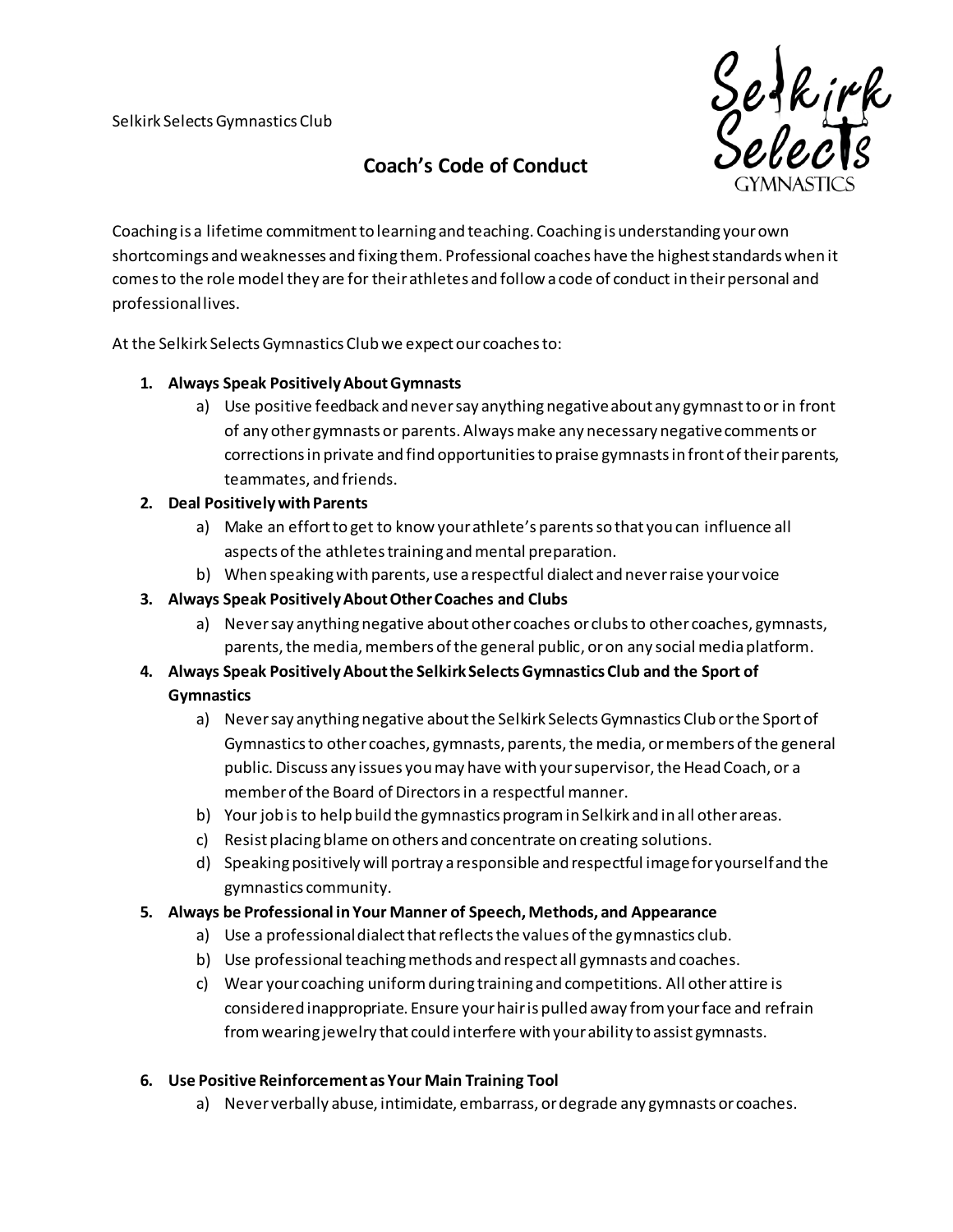

# **Coach's Code of Conduct**

Coaching is a lifetime commitment to learning and teaching. Coaching is understanding your own shortcomings and weaknesses and fixing them. Professional coaches have the highest standards when it comes to the role model they are for their athletes and follow a code of conduct in their personal and professional lives.

At the Selkirk Selects Gymnastics Club we expect our coaches to:

# **1. Always Speak Positively About Gymnasts**

a) Use positive feedback and never say anything negative about any gymnast to or in front of any other gymnasts or parents. Always make any necessary negative comments or corrections in private and find opportunities to praise gymnasts in front of their parents, teammates, and friends.

### **2. Deal Positively with Parents**

- a) Make an effort to get to know your athlete's parents so that you can influence all aspects of the athletes training and mental preparation.
- b) When speaking with parents, use a respectful dialect and never raise your voice

# **3. Always Speak Positively About Other Coaches and Clubs**

a) Never say anything negative about other coaches or clubs to other coaches, gymnasts, parents, the media, members of the general public, or on any social media platform.

# **4. Always Speak Positively About the Selkirk Selects Gymnastics Club and the Sport of Gymnastics**

- a) Never say anything negative about the Selkirk Selects Gymnastics Club or the Sport of Gymnastics to other coaches, gymnasts, parents, the media, or members of the general public. Discuss any issues you may have with your supervisor, the Head Coach, or a member of the Board of Directors in a respectful manner.
- b) Your job is to help build the gymnastics program in Selkirk and in all other areas.
- c) Resist placing blame on others and concentrate on creating solutions.
- d) Speaking positively will portray a responsible and respectful image for yourself and the gymnastics community.

### **5. Always be Professional in Your Manner of Speech, Methods, and Appearance**

- a) Use a professional dialect that reflects the values of the gymnastics club.
- b) Use professional teaching methods and respect all gymnasts and coaches.
- c) Wear your coaching uniform during training and competitions. All other attire is considered inappropriate. Ensure your hair is pulled away from your face and refrain from wearing jewelry that could interfere with your ability to assist gymnasts.

### **6. Use Positive Reinforcement as Your Main Training Tool**

a) Never verbally abuse, intimidate, embarrass, or degrade any gymnasts or coaches.